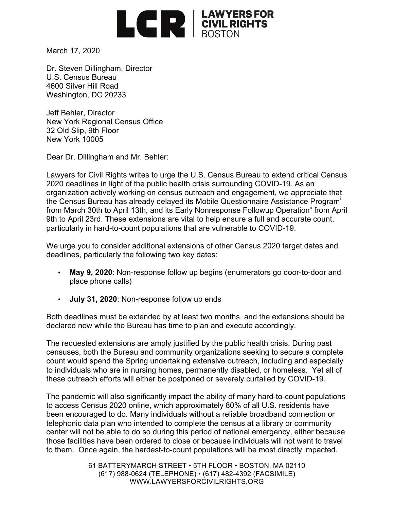

March 17, 2020

Dr. Steven Dillingham, Director U.S. Census Bureau 4600 Silver Hill Road Washington, DC 20233

Jeff Behler, Director New York Regional Census Office 32 Old Slip, 9th Floor New York 10005

Dear Dr. Dillingham and Mr. Behler:

Lawyers for Civil Rights writes to urge the U.S. Census Bureau to extend critical Census 2020 deadlines in light of the public health crisis surrounding COVID-19. As an organization actively working on census outreach and engagement, we appreciate that the Census Bureau has already delayed its Mobile Questionnaire Assistance Program<sup>i</sup> from March 30th to April 13th, and its Early Nonresponse Followup Operation<sup>ii</sup> from April 9th to April 23rd. These extensions are vital to help ensure a full and accurate count, particularly in hard-to-count populations that are vulnerable to COVID-19.

We urge you to consider additional extensions of other Census 2020 target dates and deadlines, particularly the following two key dates:

- **May 9, 2020**: Non-response follow up begins (enumerators go door-to-door and place phone calls)
- **July 31, 2020**: Non-response follow up ends

Both deadlines must be extended by at least two months, and the extensions should be declared now while the Bureau has time to plan and execute accordingly.

The requested extensions are amply justified by the public health crisis. During past censuses, both the Bureau and community organizations seeking to secure a complete count would spend the Spring undertaking extensive outreach, including and especially to individuals who are in nursing homes, permanently disabled, or homeless. Yet all of these outreach efforts will either be postponed or severely curtailed by COVID-19.

The pandemic will also significantly impact the ability of many hard-to-count populations to access Census 2020 online, which approximately 80% of all U.S. residents have been encouraged to do. Many individuals without a reliable broadband connection or telephonic data plan who intended to complete the census at a library or community center will not be able to do so during this period of national emergency, either because those facilities have been ordered to close or because individuals will not want to travel to them. Once again, the hardest-to-count populations will be most directly impacted.